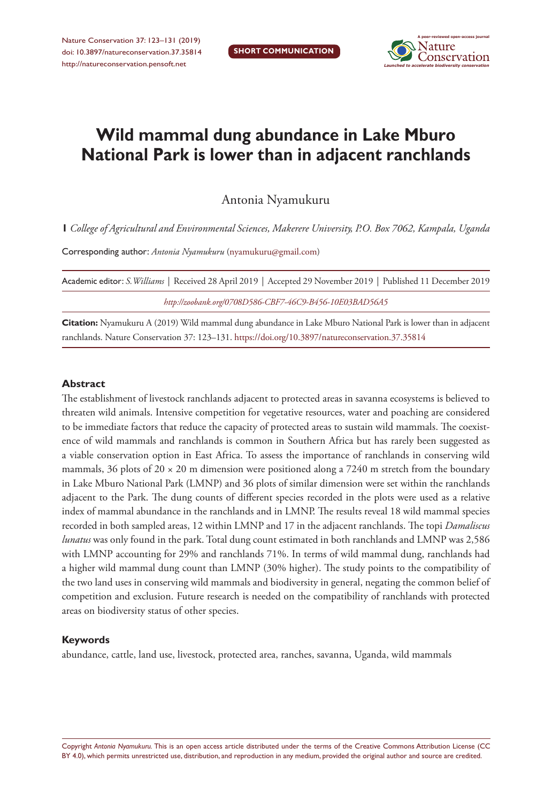

# **Wild mammal dung abundance in Lake Mburo National Park is lower than in adjacent ranchlands**

Antonia Nyamukuru

**1** *College of Agricultural and Environmental Sciences, Makerere University, P.O. Box 7062, Kampala, Uganda*

Corresponding author: *Antonia Nyamukuru* ([nyamukuru@gmail.com\)](mailto:nyamukuru@gmail.com)

| Academic editor: S. Williams   Received 28 April 2019   Accepted 29 November 2019   Published 11 December 2019 |
|----------------------------------------------------------------------------------------------------------------|
| http://zoobank.org/0708D586-CBF7-46C9-B456-10E03BAD56A5                                                        |

**Citation:** Nyamukuru A (2019) Wild mammal dung abundance in Lake Mburo National Park is lower than in adjacent ranchlands. Nature Conservation 37: 123–131. <https://doi.org/10.3897/natureconservation.37.35814>

#### **Abstract**

The establishment of livestock ranchlands adjacent to protected areas in savanna ecosystems is believed to threaten wild animals. Intensive competition for vegetative resources, water and poaching are considered to be immediate factors that reduce the capacity of protected areas to sustain wild mammals. The coexistence of wild mammals and ranchlands is common in Southern Africa but has rarely been suggested as a viable conservation option in East Africa. To assess the importance of ranchlands in conserving wild mammals, 36 plots of  $20 \times 20$  m dimension were positioned along a 7240 m stretch from the boundary in Lake Mburo National Park (LMNP) and 36 plots of similar dimension were set within the ranchlands adjacent to the Park. The dung counts of different species recorded in the plots were used as a relative index of mammal abundance in the ranchlands and in LMNP. The results reveal 18 wild mammal species recorded in both sampled areas, 12 within LMNP and 17 in the adjacent ranchlands. The topi *Damaliscus lunatus* was only found in the park. Total dung count estimated in both ranchlands and LMNP was 2,586 with LMNP accounting for 29% and ranchlands 71%. In terms of wild mammal dung, ranchlands had a higher wild mammal dung count than LMNP (30% higher). The study points to the compatibility of the two land uses in conserving wild mammals and biodiversity in general, negating the common belief of competition and exclusion. Future research is needed on the compatibility of ranchlands with protected areas on biodiversity status of other species.

#### **Keywords**

abundance, cattle, land use, livestock, protected area, ranches, savanna, Uganda, wild mammals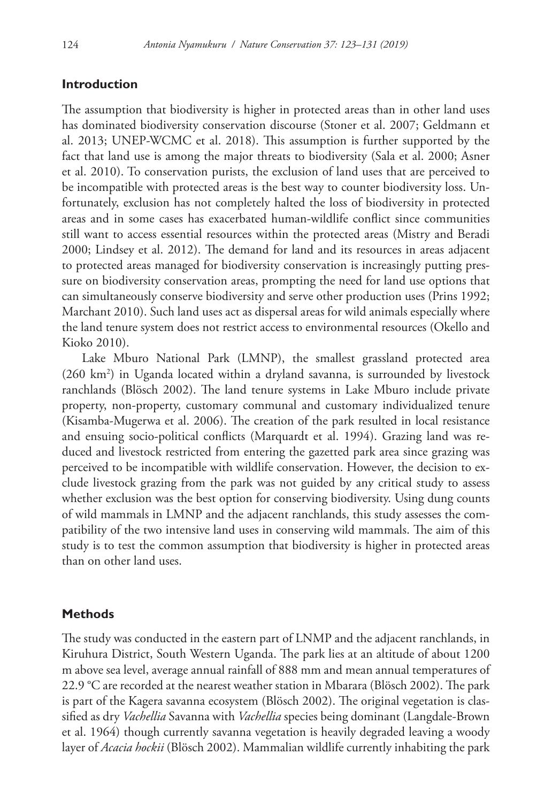## **Introduction**

The assumption that biodiversity is higher in protected areas than in other land uses has dominated biodiversity conservation discourse (Stoner et al. 2007; Geldmann et al. 2013; UNEP-WCMC et al. 2018). This assumption is further supported by the fact that land use is among the major threats to biodiversity (Sala et al. 2000; Asner et al. 2010). To conservation purists, the exclusion of land uses that are perceived to be incompatible with protected areas is the best way to counter biodiversity loss. Unfortunately, exclusion has not completely halted the loss of biodiversity in protected areas and in some cases has exacerbated human-wildlife conflict since communities still want to access essential resources within the protected areas (Mistry and Beradi 2000; Lindsey et al. 2012). The demand for land and its resources in areas adjacent to protected areas managed for biodiversity conservation is increasingly putting pressure on biodiversity conservation areas, prompting the need for land use options that can simultaneously conserve biodiversity and serve other production uses (Prins 1992; Marchant 2010). Such land uses act as dispersal areas for wild animals especially where the land tenure system does not restrict access to environmental resources (Okello and Kioko 2010).

Lake Mburo National Park (LMNP), the smallest grassland protected area (260 km2 ) in Uganda located within a dryland savanna, is surrounded by livestock ranchlands (Blösch 2002). The land tenure systems in Lake Mburo include private property, non-property, customary communal and customary individualized tenure (Kisamba-Mugerwa et al. 2006). The creation of the park resulted in local resistance and ensuing socio-political conflicts (Marquardt et al. 1994). Grazing land was reduced and livestock restricted from entering the gazetted park area since grazing was perceived to be incompatible with wildlife conservation. However, the decision to exclude livestock grazing from the park was not guided by any critical study to assess whether exclusion was the best option for conserving biodiversity. Using dung counts of wild mammals in LMNP and the adjacent ranchlands, this study assesses the compatibility of the two intensive land uses in conserving wild mammals. The aim of this study is to test the common assumption that biodiversity is higher in protected areas than on other land uses.

## **Methods**

The study was conducted in the eastern part of LNMP and the adjacent ranchlands, in Kiruhura District, South Western Uganda. The park lies at an altitude of about 1200 m above sea level, average annual rainfall of 888 mm and mean annual temperatures of 22.9 °C are recorded at the nearest weather station in Mbarara (Blösch 2002). The park is part of the Kagera savanna ecosystem (Blösch 2002). The original vegetation is classified as dry *Vachellia* Savanna with *Vachellia* species being dominant (Langdale-Brown et al. 1964) though currently savanna vegetation is heavily degraded leaving a woody layer of *Acacia hockii* (Blösch 2002). Mammalian wildlife currently inhabiting the park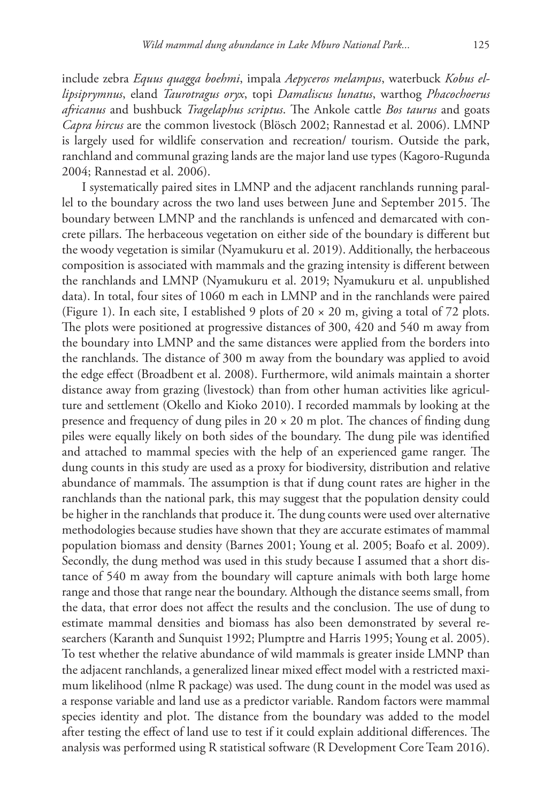include zebra *Equus quagga boehmi*, impala *Aepyceros melampus*, waterbuck *Kobus ellipsiprymnus*, eland *Taurotragus oryx*, topi *Damaliscus lunatus*, warthog *Phacochoerus africanus* and bushbuck *Tragelaphus scriptus*. The Ankole cattle *Bos taurus* and goats *Capra hircus* are the common livestock (Blösch 2002; Rannestad et al. 2006). LMNP is largely used for wildlife conservation and recreation/ tourism. Outside the park, ranchland and communal grazing lands are the major land use types (Kagoro‐Rugunda 2004; Rannestad et al. 2006).

I systematically paired sites in LMNP and the adjacent ranchlands running parallel to the boundary across the two land uses between June and September 2015. The boundary between LMNP and the ranchlands is unfenced and demarcated with concrete pillars. The herbaceous vegetation on either side of the boundary is different but the woody vegetation is similar (Nyamukuru et al. 2019). Additionally, the herbaceous composition is associated with mammals and the grazing intensity is different between the ranchlands and LMNP (Nyamukuru et al. 2019; Nyamukuru et al. unpublished data). In total, four sites of 1060 m each in LMNP and in the ranchlands were paired (Figure 1). In each site, I established 9 plots of  $20 \times 20$  m, giving a total of 72 plots. The plots were positioned at progressive distances of 300, 420 and 540 m away from the boundary into LMNP and the same distances were applied from the borders into the ranchlands. The distance of 300 m away from the boundary was applied to avoid the edge effect (Broadbent et al. 2008). Furthermore, wild animals maintain a shorter distance away from grazing (livestock) than from other human activities like agriculture and settlement (Okello and Kioko 2010). I recorded mammals by looking at the presence and frequency of dung piles in  $20 \times 20$  m plot. The chances of finding dung piles were equally likely on both sides of the boundary. The dung pile was identified and attached to mammal species with the help of an experienced game ranger. The dung counts in this study are used as a proxy for biodiversity, distribution and relative abundance of mammals. The assumption is that if dung count rates are higher in the ranchlands than the national park, this may suggest that the population density could be higher in the ranchlands that produce it. The dung counts were used over alternative methodologies because studies have shown that they are accurate estimates of mammal population biomass and density (Barnes 2001; Young et al. 2005; Boafo et al. 2009). Secondly, the dung method was used in this study because I assumed that a short distance of 540 m away from the boundary will capture animals with both large home range and those that range near the boundary. Although the distance seems small, from the data, that error does not affect the results and the conclusion. The use of dung to estimate mammal densities and biomass has also been demonstrated by several researchers (Karanth and Sunquist 1992; Plumptre and Harris 1995; Young et al. 2005). To test whether the relative abundance of wild mammals is greater inside LMNP than the adjacent ranchlands, a generalized linear mixed effect model with a restricted maximum likelihood (nlme R package) was used. The dung count in the model was used as a response variable and land use as a predictor variable. Random factors were mammal species identity and plot. The distance from the boundary was added to the model after testing the effect of land use to test if it could explain additional differences. The analysis was performed using R statistical software (R Development Core Team 2016).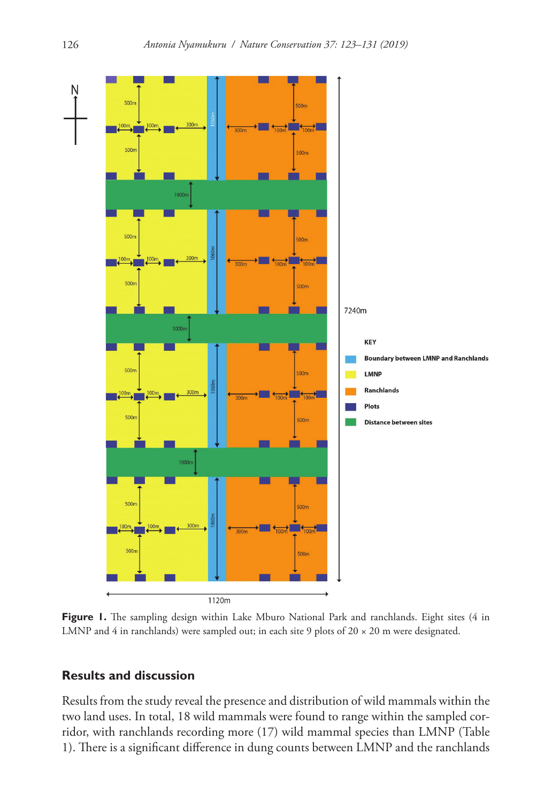

**Figure 1.** The sampling design within Lake Mburo National Park and ranchlands. Eight sites (4 in LMNP and 4 in ranchlands) were sampled out; in each site 9 plots of  $20 \times 20$  m were designated.

## **Results and discussion**

Results from the study reveal the presence and distribution of wild mammals within the two land uses. In total, 18 wild mammals were found to range within the sampled corridor, with ranchlands recording more (17) wild mammal species than LMNP (Table 1). There is a significant difference in dung counts between LMNP and the ranchlands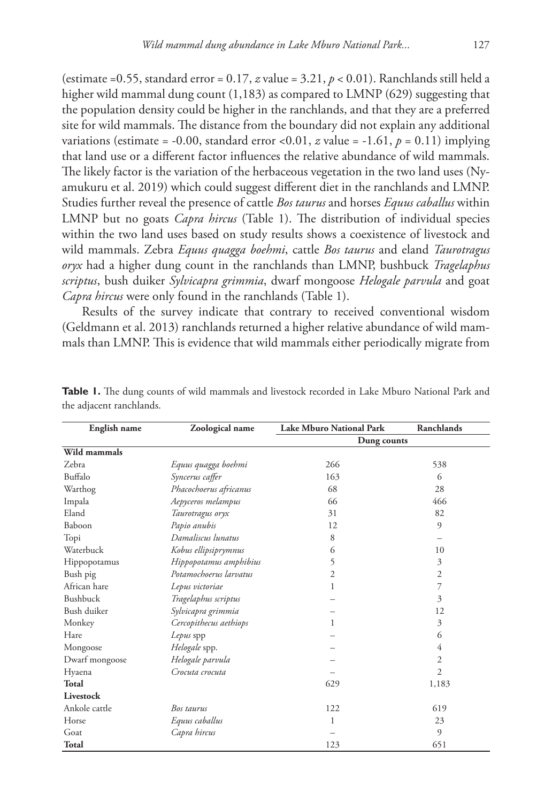(estimate =0.55, standard error = 0.17, *z* value = 3.21, *p* < 0.01). Ranchlands still held a higher wild mammal dung count (1,183) as compared to LMNP (629) suggesting that the population density could be higher in the ranchlands, and that they are a preferred site for wild mammals. The distance from the boundary did not explain any additional variations (estimate = -0.00, standard error <0.01,  $z$  value = -1.61,  $p = 0.11$ ) implying that land use or a different factor influences the relative abundance of wild mammals. The likely factor is the variation of the herbaceous vegetation in the two land uses (Nyamukuru et al. 2019) which could suggest different diet in the ranchlands and LMNP. Studies further reveal the presence of cattle *Bos taurus* and horses *Equus caballus* within LMNP but no goats *Capra hircus* (Table 1). The distribution of individual species within the two land uses based on study results shows a coexistence of livestock and wild mammals. Zebra *Equus quagga boehmi*, cattle *Bos taurus* and eland *Taurotragus oryx* had a higher dung count in the ranchlands than LMNP, bushbuck *Tragelaphus scriptus*, bush duiker *Sylvicapra grimmia*, dwarf mongoose *Helogale parvula* and goat *Capra hircus* were only found in the ranchlands (Table 1).

Results of the survey indicate that contrary to received conventional wisdom (Geldmann et al. 2013) ranchlands returned a higher relative abundance of wild mammals than LMNP. This is evidence that wild mammals either periodically migrate from

| English name   | Zoological name        | <b>Lake Mburo National Park</b> | Ranchlands     |
|----------------|------------------------|---------------------------------|----------------|
|                |                        | Dung counts                     |                |
| Wild mammals   |                        |                                 |                |
| Zebra          | Equus quagga boehmi    | 266                             | 538            |
| Buffalo        | Syncerus caffer        | 163                             | 6              |
| Warthog        | Phacochoerus africanus | 68                              | 28             |
| Impala         | Aepyceros melampus     | 66                              | 466            |
| Eland          | Taurotragus oryx       | 31                              | 82             |
| Baboon         | Papio anubis           | 12                              | 9              |
| Topi           | Damaliscus lunatus     | 8                               |                |
| Waterbuck      | Kobus ellipsiprymnus   | 6                               | 10             |
| Hippopotamus   | Hippopotamus amphibius | 5                               | 3              |
| Bush pig       | Potamochoerus larvatus | 2                               | 2              |
| African hare   | Lepus victoriae        | 1                               | 7              |
| Bushbuck       | Tragelaphus scriptus   |                                 | 3              |
| Bush duiker    | Sylvicapra grimmia     |                                 | 12             |
| Monkey         | Cercopithecus aethiops | 1                               | 3              |
| Hare           | Lepus spp              |                                 | 6              |
| Mongoose       | Helogale spp.          |                                 | 4              |
| Dwarf mongoose | Helogale parvula       |                                 | 2              |
| Hyaena         | Crocuta crocuta        |                                 | $\overline{2}$ |
| Total          |                        | 629                             | 1,183          |
| Livestock      |                        |                                 |                |
| Ankole cattle  | Bos taurus             | 122                             | 619            |
| Horse          | Equus caballus         | 1                               | 23             |
| Goat           | Capra hircus           |                                 | 9              |
| Total          |                        | 123                             | 651            |

**Table 1.** The dung counts of wild mammals and livestock recorded in Lake Mburo National Park and the adjacent ranchlands.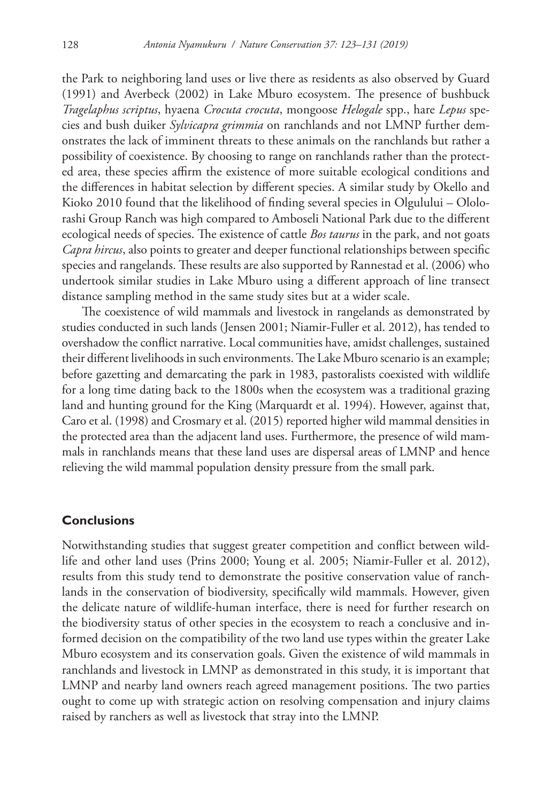the Park to neighboring land uses or live there as residents as also observed by Guard (1991) and Averbeck (2002) in Lake Mburo ecosystem. The presence of bushbuck *Tragelaphus scriptus*, hyaena *Crocuta crocuta*, mongoose *Helogale* spp., hare *Lepus* species and bush duiker *Sylvicapra grimmia* on ranchlands and not LMNP further demonstrates the lack of imminent threats to these animals on the ranchlands but rather a possibility of coexistence. By choosing to range on ranchlands rather than the protected area, these species affirm the existence of more suitable ecological conditions and the differences in habitat selection by different species. A similar study by Okello and Kioko 2010 found that the likelihood of finding several species in Olgulului – Ololorashi Group Ranch was high compared to Amboseli National Park due to the different ecological needs of species. The existence of cattle *Bos taurus* in the park, and not goats *Capra hircus*, also points to greater and deeper functional relationships between specific species and rangelands. These results are also supported by Rannestad et al. (2006) who undertook similar studies in Lake Mburo using a different approach of line transect distance sampling method in the same study sites but at a wider scale.

The coexistence of wild mammals and livestock in rangelands as demonstrated by studies conducted in such lands (Jensen 2001; Niamir-Fuller et al. 2012), has tended to overshadow the conflict narrative. Local communities have, amidst challenges, sustained their different livelihoods in such environments. The Lake Mburo scenario is an example; before gazetting and demarcating the park in 1983, pastoralists coexisted with wildlife for a long time dating back to the 1800s when the ecosystem was a traditional grazing land and hunting ground for the King (Marquardt et al. 1994). However, against that, Caro et al. (1998) and Crosmary et al. (2015) reported higher wild mammal densities in the protected area than the adjacent land uses. Furthermore, the presence of wild mammals in ranchlands means that these land uses are dispersal areas of LMNP and hence relieving the wild mammal population density pressure from the small park.

## **Conclusions**

Notwithstanding studies that suggest greater competition and conflict between wildlife and other land uses (Prins 2000; Young et al. 2005; Niamir-Fuller et al. 2012), results from this study tend to demonstrate the positive conservation value of ranchlands in the conservation of biodiversity, specifically wild mammals. However, given the delicate nature of wildlife-human interface, there is need for further research on the biodiversity status of other species in the ecosystem to reach a conclusive and informed decision on the compatibility of the two land use types within the greater Lake Mburo ecosystem and its conservation goals. Given the existence of wild mammals in ranchlands and livestock in LMNP as demonstrated in this study, it is important that LMNP and nearby land owners reach agreed management positions. The two parties ought to come up with strategic action on resolving compensation and injury claims raised by ranchers as well as livestock that stray into the LMNP.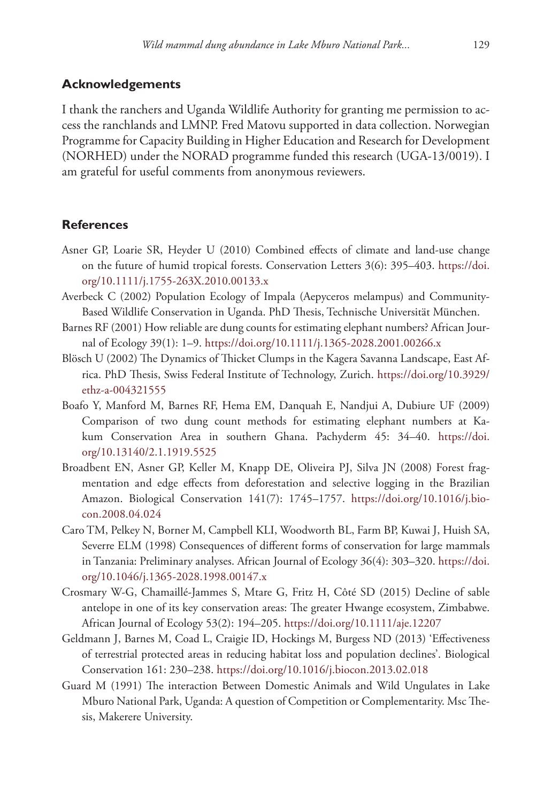#### **Acknowledgements**

I thank the ranchers and Uganda Wildlife Authority for granting me permission to access the ranchlands and LMNP. Fred Matovu supported in data collection. Norwegian Programme for Capacity Building in Higher Education and Research for Development (NORHED) under the NORAD programme funded this research (UGA-13/0019). I am grateful for useful comments from anonymous reviewers.

#### **References**

- Asner GP, Loarie SR, Heyder U (2010) Combined effects of climate and land‐use change on the future of humid tropical forests. Conservation Letters 3(6): 395–403. [https://doi.](https://doi.org/10.1111/j.1755-263X.2010.00133.x) [org/10.1111/j.1755-263X.2010.00133.x](https://doi.org/10.1111/j.1755-263X.2010.00133.x)
- Averbeck C (2002) Population Ecology of Impala (Aepyceros melampus) and Community-Based Wildlife Conservation in Uganda. PhD Thesis, Technische Universität München.
- Barnes RF (2001) How reliable are dung counts for estimating elephant numbers? African Journal of Ecology 39(1): 1–9. <https://doi.org/10.1111/j.1365-2028.2001.00266.x>
- Blösch U (2002) The Dynamics of Thicket Clumps in the Kagera Savanna Landscape, East Africa. PhD Thesis, Swiss Federal Institute of Technology, Zurich. [https://doi.org/10.3929/](https://doi.org/10.3929/ethz-a-004321555) [ethz-a-004321555](https://doi.org/10.3929/ethz-a-004321555)
- Boafo Y, Manford M, Barnes RF, Hema EM, Danquah E, Nandjui A, Dubiure UF (2009) Comparison of two dung count methods for estimating elephant numbers at Kakum Conservation Area in southern Ghana. Pachyderm 45: 34–40. [https://doi.](https://doi.org/10.13140/2.1.1919.5525) [org/10.13140/2.1.1919.5525](https://doi.org/10.13140/2.1.1919.5525)
- Broadbent EN, Asner GP, Keller M, Knapp DE, Oliveira PJ, Silva JN (2008) Forest fragmentation and edge effects from deforestation and selective logging in the Brazilian Amazon. Biological Conservation 141(7): 1745–1757. [https://doi.org/10.1016/j.bio](https://doi.org/10.1016/j.biocon.2008.04.024)[con.2008.04.024](https://doi.org/10.1016/j.biocon.2008.04.024)
- Caro TM, Pelkey N, Borner M, Campbell KLI, Woodworth BL, Farm BP, Kuwai J, Huish SA, Severre ELM (1998) Consequences of different forms of conservation for large mammals in Tanzania: Preliminary analyses. African Journal of Ecology 36(4): 303–320. [https://doi.](https://doi.org/10.1046/j.1365-2028.1998.00147.x) [org/10.1046/j.1365-2028.1998.00147.x](https://doi.org/10.1046/j.1365-2028.1998.00147.x)
- Crosmary W-G, Chamaillé-Jammes S, Mtare G, Fritz H, Côté SD (2015) Decline of sable antelope in one of its key conservation areas: The greater Hwange ecosystem, Zimbabwe. African Journal of Ecology 53(2): 194–205. <https://doi.org/10.1111/aje.12207>
- Geldmann J, Barnes M, Coad L, Craigie ID, Hockings M, Burgess ND (2013) 'Effectiveness of terrestrial protected areas in reducing habitat loss and population declines'. Biological Conservation 161: 230–238. <https://doi.org/10.1016/j.biocon.2013.02.018>
- Guard M (1991) The interaction Between Domestic Animals and Wild Ungulates in Lake Mburo National Park, Uganda: A question of Competition or Complementarity. Msc Thesis, Makerere University.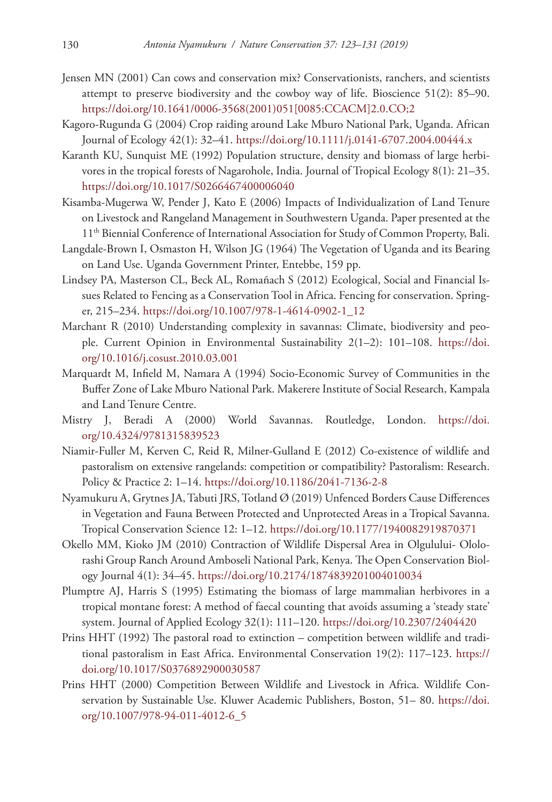- Jensen MN (2001) Can cows and conservation mix? Conservationists, ranchers, and scientists attempt to preserve biodiversity and the cowboy way of life. Bioscience 51(2): 85–90. [https://doi.org/10.1641/0006-3568\(2001\)051\[0085:CCACM\]2.0.CO;2](https://doi.org/10.1641/0006-3568(2001)051%5B0085:CCACM%5D2.0.CO;2)
- Kagoro‐Rugunda G (2004) Crop raiding around Lake Mburo National Park, Uganda. African Journal of Ecology 42(1): 32–41.<https://doi.org/10.1111/j.0141-6707.2004.00444.x>
- Karanth KU, Sunquist ME (1992) Population structure, density and biomass of large herbivores in the tropical forests of Nagarohole, India. Journal of Tropical Ecology 8(1): 21–35. <https://doi.org/10.1017/S0266467400006040>
- Kisamba-Mugerwa W, Pender J, Kato E (2006) Impacts of Individualization of Land Tenure on Livestock and Rangeland Management in Southwestern Uganda. Paper presented at the 11<sup>th</sup> Biennial Conference of International Association for Study of Common Property, Bali.
- Langdale-Brown I, Osmaston H, Wilson JG (1964) The Vegetation of Uganda and its Bearing on Land Use. Uganda Government Printer, Entebbe, 159 pp.
- Lindsey PA, Masterson CL, Beck AL, Romañach S (2012) Ecological, Social and Financial Issues Related to Fencing as a Conservation Tool in Africa. Fencing for conservation. Springer, 215–234. [https://doi.org/10.1007/978-1-4614-0902-1\\_12](https://doi.org/10.1007/978-1-4614-0902-1_12)
- Marchant R (2010) Understanding complexity in savannas: Climate, biodiversity and people. Current Opinion in Environmental Sustainability 2(1–2): 101–108. [https://doi.](https://doi.org/10.1016/j.cosust.2010.03.001) [org/10.1016/j.cosust.2010.03.001](https://doi.org/10.1016/j.cosust.2010.03.001)
- Marquardt M, Infield M, Namara A (1994) Socio-Economic Survey of Communities in the Buffer Zone of Lake Mburo National Park. Makerere Institute of Social Research, Kampala and Land Tenure Centre.
- Mistry J, Beradi A (2000) World Savannas. Routledge, London. [https://doi.](https://doi.org/10.4324/9781315839523) [org/10.4324/9781315839523](https://doi.org/10.4324/9781315839523)
- Niamir-Fuller M, Kerven C, Reid R, Milner-Gulland E (2012) Co-existence of wildlife and pastoralism on extensive rangelands: competition or compatibility? Pastoralism: Research. Policy & Practice 2: 1–14. <https://doi.org/10.1186/2041-7136-2-8>
- Nyamukuru A, Grytnes JA, Tabuti JRS, Totland Ø (2019) Unfenced Borders Cause Differences in Vegetation and Fauna Between Protected and Unprotected Areas in a Tropical Savanna. Tropical Conservation Science 12: 1–12. <https://doi.org/10.1177/1940082919870371>
- Okello MM, Kioko JM (2010) Contraction of Wildlife Dispersal Area in Olgulului- Ololorashi Group Ranch Around Amboseli National Park, Kenya. The Open Conservation Biology Journal 4(1): 34–45. <https://doi.org/10.2174/1874839201004010034>
- Plumptre AJ, Harris S (1995) Estimating the biomass of large mammalian herbivores in a tropical montane forest: A method of faecal counting that avoids assuming a 'steady state' system. Journal of Applied Ecology 32(1): 111–120. <https://doi.org/10.2307/2404420>
- Prins HHT (1992) The pastoral road to extinction competition between wildlife and traditional pastoralism in East Africa. Environmental Conservation 19(2): 117–123. [https://](https://doi.org/10.1017/S0376892900030587) [doi.org/10.1017/S0376892900030587](https://doi.org/10.1017/S0376892900030587)
- Prins HHT (2000) Competition Between Wildlife and Livestock in Africa. Wildlife Conservation by Sustainable Use. Kluwer Academic Publishers, Boston, 51– 80. [https://doi.](https://doi.org/10.1007/978-94-011-4012-6_5) [org/10.1007/978-94-011-4012-6\\_5](https://doi.org/10.1007/978-94-011-4012-6_5)